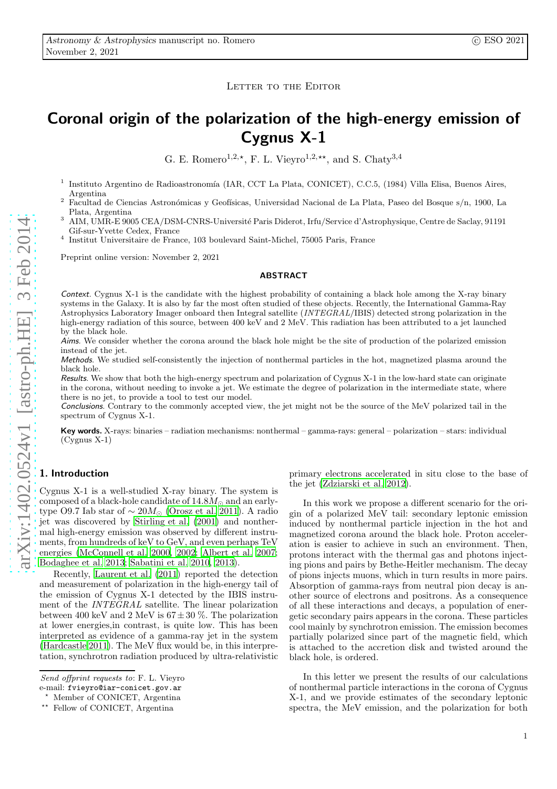## LETTER TO THE EDITOR

# Coronal origin of the polarization of the high-energy emission of Cygnus X-1

G. E. Romero<sup>1,2, $\star$ </sup>, F. L. Vieyro<sup>1,2, $\star\star$ </sup>, and S. Chaty<sup>3,4</sup>

- 1 Instituto Argentino de Radioastronomía (IAR, CCT La Plata, CONICET), C.C.5, (1984) Villa Elisa, Buenos Aires, Argentina
- <sup>2</sup> Facultad de Ciencias Astronómicas y Geofísicas, Universidad Nacional de La Plata, Paseo del Bosque s/n, 1900, La Plata, Argentina
- <sup>3</sup> AIM, UMR-E 9005 CEA/DSM-CNRS-Université Paris Diderot, Irfu/Service d'Astrophysique, Centre de Saclay, 91191 Gif-sur-Yvette Cedex, France
- 4 Institut Universitaire de France, 103 boulevard Saint-Michel, 75005 Paris, France

Preprint online version: November 2, 2021

#### ABSTRACT

Context. Cygnus X-1 is the candidate with the highest probability of containing a black hole among the X-ray binary systems in the Galaxy. It is also by far the most often studied of these objects. Recently, the International Gamma-Ray Astrophysics Laboratory Imager onboard then Integral satellite (INTEGRAL/IBIS) detected strong polarization in the high-energy radiation of this source, between 400 keV and 2 MeV. This radiation has been attributed to a jet launched by the black hole.

Aims. We consider whether the corona around the black hole might be the site of production of the polarized emission instead of the jet.

Methods. We studied self-consistently the injection of nonthermal particles in the hot, magnetized plasma around the black hole.

Results. We show that both the high-energy spectrum and polarization of Cygnus X-1 in the low-hard state can originate in the corona, without needing to invoke a jet. We estimate the degree of polarization in the intermediate state, where there is no jet, to provide a tool to test our model.

Conclusions. Contrary to the commonly accepted view, the jet might not be the source of the MeV polarized tail in the spectrum of Cygnus X-1.

Key words. X-rays: binaries – radiation mechanisms: nonthermal – gamma-rays: general – polarization – stars: individual (Cygnus X-1)

## 1. Introduction

Cygnus X-1 is a well-studied X-ray binary. The system is composed of a black-hole candidate of  $14.8M_{\odot}$  and an earlytype O9.7 Iab star of  $\sim 20 M_{\odot}$  [\(Orosz et al. 2011](#page-3-0)). A radio jet was discovered by [Stirling et al. \(2001\)](#page-3-1) and nonthermal high-energy emission was observed by different instruments, from hundreds of keV to GeV, and even perhaps TeV energies [\(McConnell et al. 2000,](#page-3-2) [2002;](#page-3-3) [Albert et al. 2007](#page-3-4); [Bodaghee et al. 2013](#page-3-5); [Sabatini et al. 2010,](#page-3-6) [2013\)](#page-3-7).

Recently, [Laurent et al. \(2011](#page-3-8)) reported the detection and measurement of polarization in the high-energy tail of the emission of Cygnus X-1 detected by the IBIS instrument of the INTEGRAL satellite. The linear polarization between 400 keV and 2 MeV is  $67 \pm 30$  %. The polarization at lower energies,in contrast, is quite low. This has been interpreted as evidence of a gamma-ray jet in the system [\(Hardcastle 2011\)](#page-3-9). The MeV flux would be, in this interpretation, synchrotron radiation produced by ultra-relativistic primary electrons accelerated in situ close to the base of the jet [\(Zdziarski et al. 2012\)](#page-4-0).

In this work we propose a different scenario for the origin of a polarized MeV tail: secondary leptonic emission induced by nonthermal particle injection in the hot and magnetized corona around the black hole. Proton acceleration is easier to achieve in such an environment. Then, protons interact with the thermal gas and photons injecting pions and pairs by Bethe-Heitler mechanism. The decay of pions injects muons, which in turn results in more pairs. Absorption of gamma-rays from neutral pion decay is another source of electrons and positrons. As a consequence of all these interactions and decays, a population of energetic secondary pairs appears in the corona. These particles cool mainly by synchrotron emission. The emission becomes partially polarized since part of the magnetic field, which is attached to the accretion disk and twisted around the black hole, is ordered.

In this letter we present the results of our calculations of nonthermal particle interactions in the corona of Cygnus X-1, and we provide estimates of the secondary leptonic spectra, the MeV emission, and the polarization for both

Send offprint requests to: F. L. Vieyro e-mail: fvieyro@iar-conicet.gov.ar

<sup>⋆</sup> Member of CONICET, Argentina

<sup>⋆⋆</sup> Fellow of CONICET, Argentina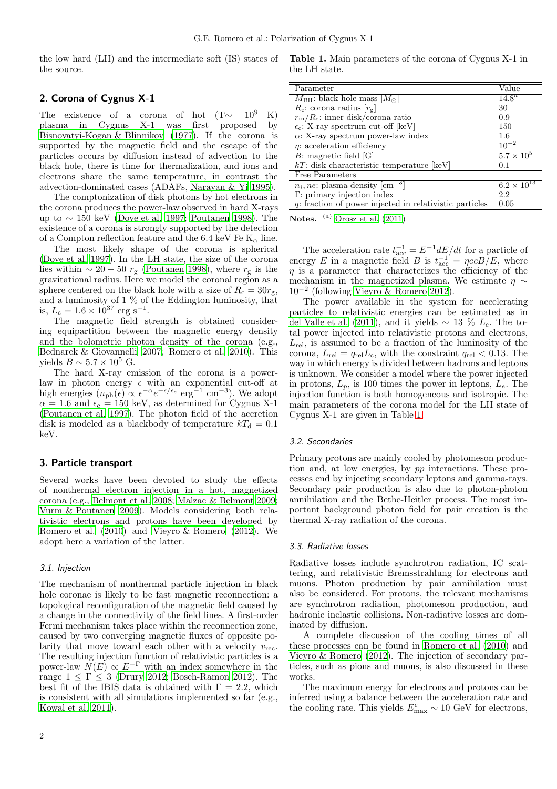the low hard (LH) and the intermediate soft (IS) states of the source.

# <span id="page-1-1"></span>2. Corona of Cygnus X-1

The existence of a corona of hot  $(T \sim 10^9 \text{ K})$ plasma in Cygnus X-1 was first proposed by [Bisnovatyi-Kogan & Blinnikov \(1977\)](#page-3-10). If the corona is supported by the magnetic field and the escape of the particles occurs by diffusion instead of advection to the black hole, there is time for thermalization, and ions and electrons share the same temperature, in contrast the advection-dominated cases (ADAFs, [Narayan & Yi 1995\)](#page-3-11).

The comptonization of disk photons by hot electrons in the corona produces the power-law observed in hard X-rays up to  $\sim$  150 keV [\(Dove et al. 1997;](#page-3-12) [Poutanen 1998](#page-3-13)). The existence of a corona is strongly supported by the detection of a Compton reflection feature and the 6.4 keV Fe  $K_{\alpha}$  line.

The most likely shape of the corona is spherical [\(Dove et al. 1997\)](#page-3-12). In the LH state, the size of the corona lies within  $\sim 20 - 50 r_{\rm g}$  [\(Poutanen 1998\)](#page-3-13), where  $r_{\rm g}$  is the gravitational radius. Here we model the coronal region as a sphere centered on the black hole with a size of  $R_c = 30r_g$ , and a luminosity of 1 % of the Eddington luminosity, that is,  $L_c = 1.6 \times 10^{37} \text{ erg s}^{-1}$ .

The magnetic field strength is obtained considering equipartition between the magnetic energy density and the bolometric photon density of the corona (e.g., [Bednarek & Giovannelli 2007;](#page-3-14) [Romero et al. 2010](#page-3-15)). This yields  $B \sim 5.7 \times 10^5$  G.

The hard X-ray emission of the corona is a powerlaw in photon energy  $\epsilon$  with an exponential cut-off at high energies  $(n_{ph}(\epsilon) \propto \epsilon^{-\alpha} e^{-\epsilon/\epsilon_c} \text{ erg}^{-1} \text{ cm}^{-3})$ . We adopt  $\alpha = 1.6$  and  $\epsilon_c = 150$  keV, as determined for Cygnus X-1 [\(Poutanen et al. 1997](#page-3-16)). The photon field of the accretion disk is modeled as a blackbody of temperature  $kT<sub>d</sub> = 0.1$ keV.

### 3. Particle transport

Several works have been devoted to study the effects of nonthermal electron injection in a hot, magnetized corona (e.g., [Belmont et al. 2008;](#page-3-17) [Malzac & Belmont 2009](#page-3-18); [Vurm & Poutanen 2009\)](#page-4-1). Models considering both relativistic electrons and protons have been developed by [Romero et al. \(2010\)](#page-3-15) and [Vieyro & Romero \(2012\)](#page-4-2). We adopt here a variation of the latter.

## 3.1. Injection

The mechanism of nonthermal particle injection in black hole coronae is likely to be fast magnetic reconnection: a topological reconfiguration of the magnetic field caused by a change in the connectivity of the field lines. A first-order Fermi mechanism takes place within the reconnection zone, caused by two converging magnetic fluxes of opposite polarity that move toward each other with a velocity  $v_{\text{rec}}$ . The resulting injection function of relativistic particles is a power-law  $N(E) \propto E^{-\Gamma}$  with an index somewhere in the range  $1 \leq \Gamma \leq 3$  [\(Drury 2012;](#page-3-19) [Bosch-Ramon 2012\)](#page-3-20). The best fit of the IBIS data is obtained with  $\Gamma = 2.2$ , which is consistent with all simulations implemented so far (e.g., [Kowal et al. 2011\)](#page-3-21).

<span id="page-1-0"></span>Table 1. Main parameters of the corona of Cygnus X-1 in the LH state.

| Parameter                                                 | Value                 |
|-----------------------------------------------------------|-----------------------|
| $M_{\rm BH}$ : black hole mass $ M_{\odot} $              | $14.8^{\overline{a}}$ |
| $R_c$ : corona radius $[r_g]$                             | 30                    |
| $r_{\rm in}/R_{\rm c}$ : inner disk/corona ratio          | 0.9                   |
| $\epsilon_c$ : X-ray spectrum cut-off [keV]               | 150                   |
| $\alpha$ : X-ray spectrum power-law index                 | 1.6                   |
| $\eta$ : acceleration efficiency                          | $10^{-2}$             |
| $B:$ magnetic field [G]                                   | $5.7 \times 10^5$     |
| $kT$ : disk characteristic temperature [keV]              | 0.1                   |
| Free Parameters                                           |                       |
| $n_i$ , ne: plasma density $\lceil \text{cm}^{-3} \rceil$ | $6.2 \times 10^{13}$  |
| $\Gamma$ : primary injection index                        | 2.2                   |
| q: fraction of power injected in relativistic particles   | 0.05                  |

Notes.  $(a)$  [Orosz et al. \(2011\)](#page-3-0)

The acceleration rate  $t_{\text{acc}}^{-1} = E^{-1} dE/dt$  for a particle of energy E in a magnetic field B is  $t_{\text{acc}}^{-1} = \eta e c B / E$ , where  $\eta$  is a parameter that characterizes the efficiency of the mechanism in the magnetized plasma. We estimate  $\eta \sim$ 10<sup>−</sup><sup>2</sup> (following [Vieyro & Romero 2012](#page-4-2)).

The power available in the system for accelerating particles to relativistic energies can be estimated as in [del Valle et al. \(2011](#page-3-22)), and it yields  $\sim$  13 %  $L_c$ . The total power injected into relativistic protons and electrons,  $L_{\text{rel}}$ , is assumed to be a fraction of the luminosity of the corona,  $L_{rel} = q_{rel} L_c$ , with the constraint  $q_{rel} < 0.13$ . The way in which energy is divided between hadrons and leptons is unknown. We consider a model where the power injected in protons,  $L_p$ , is 100 times the power in leptons,  $L_e$ . The injection function is both homogeneous and isotropic. The main parameters of the corona model for the LH state of Cygnus X-1 are given in Table [1.](#page-1-0)

#### 3.2. Secondaries

Primary protons are mainly cooled by photomeson production and, at low energies, by pp interactions. These processes end by injecting secondary leptons and gamma-rays. Secondary pair production is also due to photon-photon annihilation and the Bethe-Heitler process. The most important background photon field for pair creation is the thermal X-ray radiation of the corona.

#### 3.3. Radiative losses

Radiative losses include synchrotron radiation, IC scattering, and relativistic Bremsstrahlung for electrons and muons. Photon production by pair annihilation must also be considered. For protons, the relevant mechanisms are synchrotron radiation, photomeson production, and hadronic inelastic collisions. Non-radiative losses are dominated by diffusion.

A complete discussion of the cooling times of all these processes can be found in [Romero et al. \(2010\)](#page-3-15) and [Vieyro & Romero \(2012\)](#page-4-2). The injection of secondary particles, such as pions and muons, is also discussed in these works.

The maximum energy for electrons and protons can be inferred using a balance between the acceleration rate and the cooling rate. This yields  $E_{\text{max}}^e \sim 10 \text{ GeV}$  for electrons,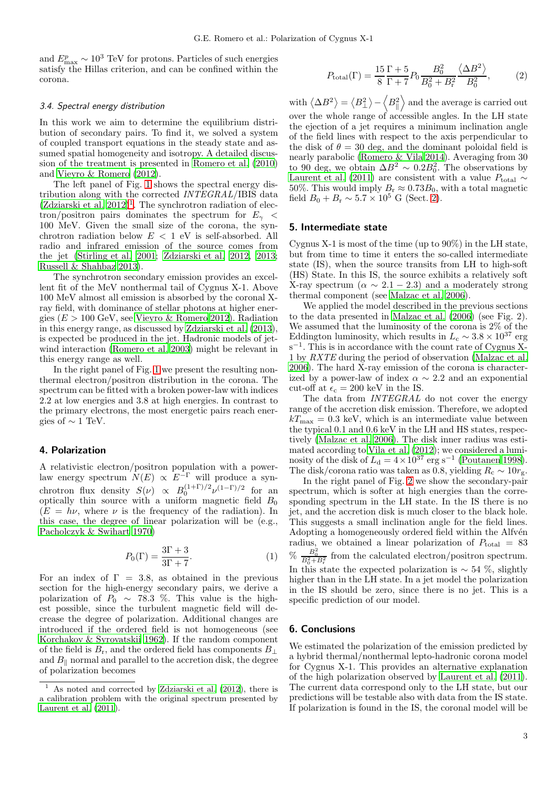and  $E_{\text{max}}^p \sim 10^3$  TeV for protons. Particles of such energies satisfy the Hillas criterion, and can be confined within the corona.

#### 3.4. Spectral energy distribution

In this work we aim to determine the equilibrium distribution of secondary pairs. To find it, we solved a system of coupled transport equations in the steady state and assumed spatial homogeneity and isotropy. A detailed discussion of the treatment is presented in [Romero et al. \(2010](#page-3-15)) and [Vieyro & Romero \(2012\)](#page-4-2).

The left panel of Fig. [1](#page-3-23) shows the spectral energy distribution along with the corrected INTEGRAL/IBIS data  $(Zdziarski et al. 2012)<sup>1</sup>$  $(Zdziarski et al. 2012)<sup>1</sup>$  $(Zdziarski et al. 2012)<sup>1</sup>$  $(Zdziarski et al. 2012)<sup>1</sup>$ . The synchrotron radiation of electron/positron pairs dominates the spectrum for  $E_{\gamma}$  < 100 MeV. Given the small size of the corona, the synchrotron radiation below  $E < 1$  eV is self-absorbed. All radio and infrared emission of the source comes from the jet [\(Stirling et al. 2001](#page-3-1); [Zdziarski et al. 2012,](#page-4-0) [2013](#page-4-3); [Russell & Shahbaz 2013\)](#page-3-24).

The synchrotron secondary emission provides an excellent fit of the MeV nonthermal tail of Cygnus X-1. Above 100 MeV almost all emission is absorbed by the coronal Xray field, with dominance of stellar photons at higher energies ( $E > 100$  GeV, see [Vieyro & Romero 2012\)](#page-4-2). Radiation in this energy range, as discussed by [Zdziarski et al. \(2013\)](#page-4-3), is expected be produced in the jet. Hadronic models of jetwind interaction [\(Romero et al. 2003\)](#page-3-25) might be relevant in this energy range as well.

In the right panel of Fig. [1](#page-3-23) we present the resulting nonthermal electron/positron distribution in the corona. The spectrum can be fitted with a broken power-law with indices 2.2 at low energies and 3.8 at high energies. In contrast to the primary electrons, the most energetic pairs reach energies of  $\sim 1$  TeV.

# 4. Polarization

A relativistic electron/positron population with a powerlaw energy spectrum  $N(E) \propto E^{-\Gamma}$  will produce a synchrotron flux density  $S(\nu) \propto B_0^{(1+\Gamma)/2} \nu^{(1-\Gamma)/2}$  for an optically thin source with a uniform magnetic field  $B_0$  $(E = h\nu$ , where  $\nu$  is the frequency of the radiation). In this case, the degree of linear polarization will be (e.g., [Pacholczyk & Swihart 1970\)](#page-3-26)

$$
P_0(\Gamma) = \frac{3\Gamma + 3}{3\Gamma + 7}.\tag{1}
$$

For an index of  $\Gamma = 3.8$ , as obtained in the previous section for the high-energy secondary pairs, we derive a polarization of  $P_0 \sim 78.3$  %. This value is the highest possible, since the turbulent magnetic field will decrease the degree of polarization. Additional changes are introduced if the ordered field is not homogeneous (see [Korchakov & Syrovatskii 1962](#page-3-27)). If the random component of the field is  $B_r$ , and the ordered field has components  $B_\perp$ and  $B_{\parallel}$  normal and parallel to the accretion disk, the degree of polarization becomes

$$
P_{\text{total}}(\Gamma) = \frac{15 \Gamma + 5}{8 \Gamma + 7} P_0 \frac{B_0^2}{B_0^2 + B_r^2} \frac{\langle \Delta B^2 \rangle}{B_0^2},\tag{2}
$$

with  $\langle \Delta B^2 \rangle = \langle B_{\perp}^2 \rangle - \langle B_{\parallel}^2 \rangle$  and the average is carried out over the whole range of accessible angles. In the LH state the ejection of a jet requires a minimum inclination angle of the field lines with respect to the axis perpendicular to the disk of  $\theta = 30$  deg, and the dominant poloidal field is nearly parabolic [\(Romero & Vila 2014\)](#page-3-28). Averaging from 30 to 90 deg, we obtain  $\Delta B^2 \sim 0.2B_0^2$ . The observations by [Laurent et al. \(2011\)](#page-3-8) are consistent with a value  $P_{\text{total}} \sim$ 50%. This would imply  $B_r \approx 0.73B_0$ , with a total magnetic field  $B_0 + B_r \sim 5.7 \times 10^5$  G (Sect. [2\)](#page-1-1).

# 5. Intermediate state

Cygnus X-1 is most of the time (up to  $90\%$ ) in the LH state, but from time to time it enters the so-called intermediate state (IS), when the source transits from LH to high-soft (HS) State. In this IS, the source exhibits a relatively soft X-ray spectrum ( $\alpha \sim 2.1 - 2.3$ ) and a moderately strong thermal component (see [Malzac et al. 2006\)](#page-3-29).

We applied the model described in the previous sections to the data presented in [Malzac et al. \(2006](#page-3-29)) (see Fig. 2). We assumed that the luminosity of the corona is 2% of the Eddington luminosity, which results in  $L_c \sim 3.8 \times 10^{37}$  erg s<sup>-1</sup>. This is in accordance with the count rate of Cygnus X-1 by RXTE during the period of observation [\(Malzac et al.](#page-3-29) [2006\)](#page-3-29). The hard X-ray emission of the corona is characterized by a power-law of index  $\alpha \sim 2.2$  and an exponential cut-off at  $\epsilon_c = 200 \text{ keV}$  in the IS.

The data from *INTEGRAL* do not cover the energy range of the accretion disk emission. Therefore, we adopted  $k_{\text{max}} = 0.3$  keV, which is an intermediate value between the typical 0.1 and 0.6 keV in the LH and HS states, respectively [\(Malzac et al. 2006\)](#page-3-29). The disk inner radius was estimated according to [Vila et al. \(2012](#page-4-4)); we considered a luminosity of the disk of  $L_d = 4 \times 10^{37}$  erg s<sup>-1</sup> [\(Poutanen 1998](#page-3-13)). The disk/corona ratio was taken as 0.8, yielding  $R_c \sim 10r_g$ .

In the right panel of Fig. [2](#page-3-30) we show the secondary-pair spectrum, which is softer at high energies than the corresponding spectrum in the LH state. In the IS there is no jet, and the accretion disk is much closer to the black hole. This suggests a small inclination angle for the field lines. Adopting a homogeneously ordered field within the Alfvén radius, we obtained a linear polarization of  $P_{\text{total}} = 83$ %  $\frac{B_0^2}{B_0^2 + B_{\rm r}^2}$  from the calculated electron/positron spectrum. In this state the expected polarization is  $\sim$  54 %, slightly higher than in the LH state. In a jet model the polarization in the IS should be zero, since there is no jet. This is a specific prediction of our model.

# 6. Conclusions

We estimated the polarization of the emission predicted by a hybrid thermal/nonthermal lepto-hadronic corona model for Cygnus X-1. This provides an alternative explanation of the high polarization observed by [Laurent et al. \(2011](#page-3-8)). The current data correspond only to the LH state, but our predictions will be testable also with data from the IS state. If polarization is found in the IS, the coronal model will be

<span id="page-2-0"></span><sup>&</sup>lt;sup>1</sup> As noted and corrected by Zdziarski et al.  $(2012)$ , there is a calibration problem with the original spectrum presented by [Laurent et al. \(2011](#page-3-8)).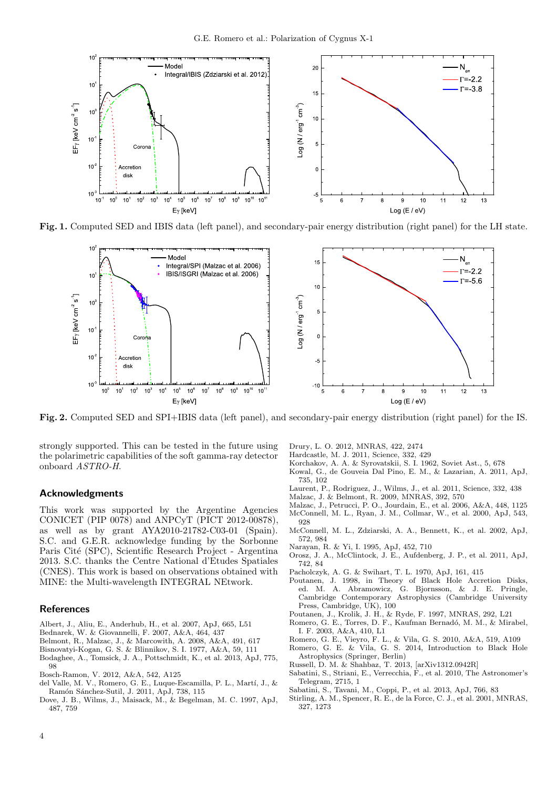

Fig. 1. Computed SED and IBIS data (left panel), and secondary-pair energy distribution (right panel) for the LH state.

<span id="page-3-23"></span>

<span id="page-3-30"></span>Fig. 2. Computed SED and SPI+IBIS data (left panel), and secondary-pair energy distribution (right panel) for the IS.

strongly supported. This can be tested in the future using the polarimetric capabilities of the soft gamma-ray detector onboard ASTRO-H.

#### Acknowledgments

This work was supported by the Argentine Agencies CONICET (PIP 0078) and ANPCyT (PICT 2012-00878), as well as by grant AYA2010-21782-C03-01 (Spain). S.C. and G.E.R. acknowledge funding by the Sorbonne Paris Cité (SPC), Scientific Research Project - Argentina 2013. S.C. thanks the Centre National d'Etudes Spatiales (CNES). This work is based on observations obtained with MINE: the Multi-wavelength INTEGRAL NEtwork.

## References

- <span id="page-3-4"></span>Albert, J., Aliu, E., Anderhub, H., et al. 2007, ApJ, 665, L51
- <span id="page-3-14"></span>Bednarek, W. & Giovannelli, F. 2007, A&A, 464, 437
- <span id="page-3-17"></span>Belmont, R., Malzac, J., & Marcowith, A. 2008, A&A, 491, 617
- <span id="page-3-10"></span>Bisnovatyi-Kogan, G. S. & Blinnikov, S. I. 1977, A&A, 59, 111
- <span id="page-3-5"></span>Bodaghee, A., Tomsick, J. A., Pottschmidt, K., et al. 2013, ApJ, 775, 98

<span id="page-3-20"></span>Bosch-Ramon, V. 2012, A&A, 542, A125

- <span id="page-3-22"></span>del Valle, M. V., Romero, G. E., Luque-Escamilla, P. L., Martí, J., & Ramón Sánchez-Sutil, J. 2011, ApJ, 738, 115
- <span id="page-3-12"></span>Dove, J. B., Wilms, J., Maisack, M., & Begelman, M. C. 1997, ApJ, 487, 759

<span id="page-3-19"></span>Drury, L. O. 2012, MNRAS, 422, 2474

- <span id="page-3-9"></span>Hardcastle, M. J. 2011, Science, 332, 429
- <span id="page-3-27"></span>Korchakov, A. A. & Syrovatskii, S. I. 1962, Soviet Ast., 5, 678 Kowal, G., de Gouveia Dal Pino, E. M., & Lazarian, A. 2011, ApJ,
- <span id="page-3-21"></span>735, 102 Laurent, P., Rodriguez, J., Wilms, J., et al. 2011, Science, 332, 438
- <span id="page-3-8"></span>Malzac, J. & Belmont, R. 2009, MNRAS, 392, 570
- <span id="page-3-29"></span><span id="page-3-18"></span>
- <span id="page-3-2"></span>Malzac, J., Petrucci, P. O., Jourdain, E., et al. 2006, A&A, 448, 1125 McConnell, M. L., Ryan, J. M., Collmar, W., et al. 2000, ApJ, 543, 928
- <span id="page-3-3"></span>McConnell, M. L., Zdziarski, A. A., Bennett, K., et al. 2002, ApJ, 572, 984
- Narayan, R. & Yi, I. 1995, ApJ, 452, 710
- <span id="page-3-11"></span><span id="page-3-0"></span>Orosz, J. A., McClintock, J. E., Aufdenberg, J. P., et al. 2011, ApJ, 742, 84
- <span id="page-3-26"></span>Pacholczyk, A. G. & Swihart, T. L. 1970, ApJ, 161, 415
- <span id="page-3-13"></span>Poutanen, J. 1998, in Theory of Black Hole Accretion Disks, ed. M. A. Abramowicz, G. Bjornsson, & J. E. Pringle, Cambridge Contemporary Astrophysics (Cambridge University Press, Cambridge, UK), 100
- <span id="page-3-16"></span>Poutanen, J., Krolik, J. H., & Ryde, F. 1997, MNRAS, 292, L21
- <span id="page-3-25"></span>Romero, G. E., Torres, D. F., Kaufman Bernadó, M. M., & Mirabel, I. F. 2003, A&A, 410, L1
- <span id="page-3-15"></span>Romero, G. E., Vieyro, F. L., & Vila, G. S. 2010, A&A, 519, A109
- <span id="page-3-28"></span>Romero, G. E. & Vila, G. S. 2014, Introduction to Black Hole Astrophysics (Springer, Berlin)
- <span id="page-3-24"></span>Russell, D. M. & Shahbaz, T. 2013, [arXiv1312.0942R]
- <span id="page-3-6"></span>Sabatini, S., Striani, E., Verrecchia, F., et al. 2010, The Astronomer's Telegram, 2715, 1
- <span id="page-3-7"></span>Sabatini, S., Tavani, M., Coppi, P., et al. 2013, ApJ, 766, 83
- <span id="page-3-1"></span>Stirling, A. M., Spencer, R. E., de la Force, C. J., et al. 2001, MNRAS, 327, 1273